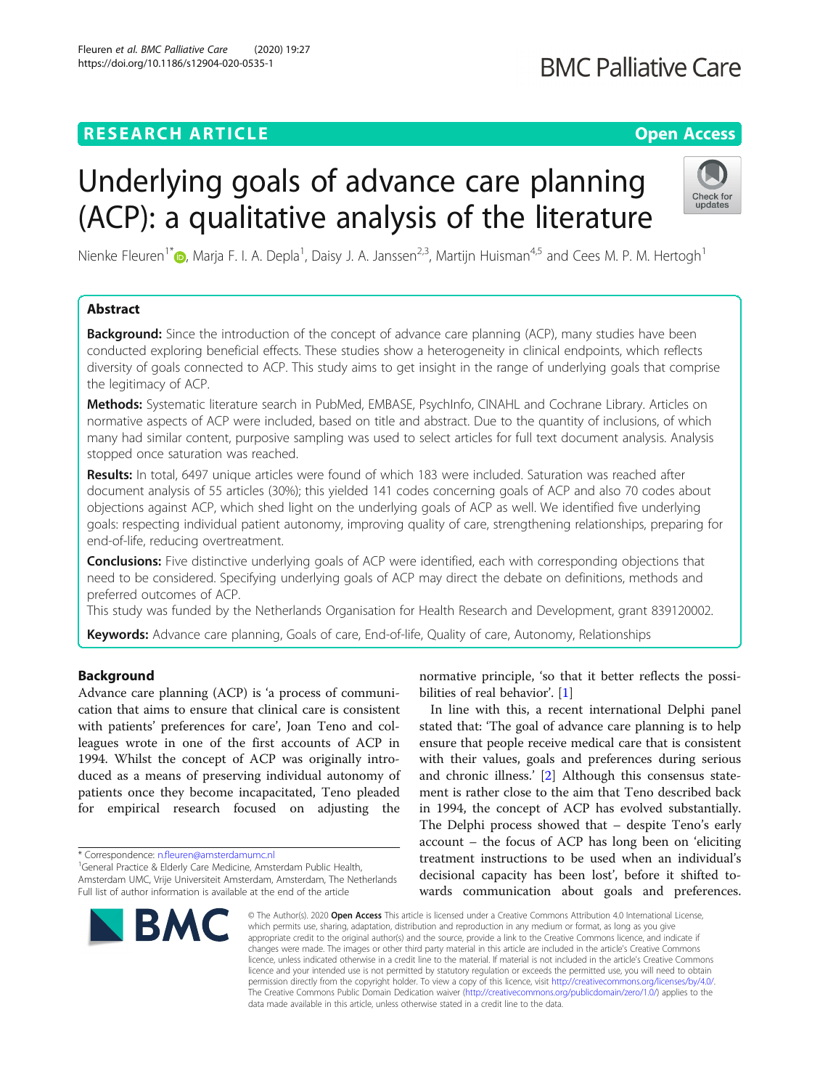# **RESEARCH ARTICLE Example 2014 12:30 The Contract of Contract ACCESS**

# Underlying goals of advance care planning (ACP): a qualitative analysis of the literature

Nienke Fleuren<sup>1[\\*](http://orcid.org/0000-0003-4301-3015)</sup> (**D**, Marja F. I. A. Depla<sup>1</sup>, Daisy J. A. Janssen<sup>2,3</sup>, Martijn Huisman<sup>4,5</sup> and Cees M. P. M. Hertogh<sup>1</sup>

# Abstract

**Background:** Since the introduction of the concept of advance care planning (ACP), many studies have been conducted exploring beneficial effects. These studies show a heterogeneity in clinical endpoints, which reflects diversity of goals connected to ACP. This study aims to get insight in the range of underlying goals that comprise the legitimacy of ACP.

Methods: Systematic literature search in PubMed, EMBASE, PsychInfo, CINAHL and Cochrane Library. Articles on normative aspects of ACP were included, based on title and abstract. Due to the quantity of inclusions, of which many had similar content, purposive sampling was used to select articles for full text document analysis. Analysis stopped once saturation was reached.

Results: In total, 6497 unique articles were found of which 183 were included. Saturation was reached after document analysis of 55 articles (30%); this yielded 141 codes concerning goals of ACP and also 70 codes about objections against ACP, which shed light on the underlying goals of ACP as well. We identified five underlying goals: respecting individual patient autonomy, improving quality of care, strengthening relationships, preparing for end-of-life, reducing overtreatment.

**Conclusions:** Five distinctive underlying goals of ACP were identified, each with corresponding objections that need to be considered. Specifying underlying goals of ACP may direct the debate on definitions, methods and preferred outcomes of ACP.

This study was funded by the Netherlands Organisation for Health Research and Development, grant 839120002.

Keywords: Advance care planning, Goals of care, End-of-life, Quality of care, Autonomy, Relationships

# Background

Advance care planning (ACP) is 'a process of communication that aims to ensure that clinical care is consistent with patients' preferences for care', Joan Teno and colleagues wrote in one of the first accounts of ACP in 1994. Whilst the concept of ACP was originally introduced as a means of preserving individual autonomy of patients once they become incapacitated, Teno pleaded for empirical research focused on adjusting the

\* Correspondence: [n.fleuren@amsterdamumc.nl](mailto:n.fleuren@amsterdamumc.nl) <sup>1</sup>

<sup>1</sup>General Practice & Elderly Care Medicine, Amsterdam Public Health, Amsterdam UMC, Vrije Universiteit Amsterdam, Amsterdam, The Netherlands Full list of author information is available at the end of the article

normative principle, 'so that it better reflects the possibilities of real behavior'. [[1](#page-13-0)]

In line with this, a recent international Delphi panel stated that: 'The goal of advance care planning is to help ensure that people receive medical care that is consistent with their values, goals and preferences during serious and chronic illness.' [[2\]](#page-13-0) Although this consensus statement is rather close to the aim that Teno described back in 1994, the concept of ACP has evolved substantially. The Delphi process showed that – despite Teno's early account – the focus of ACP has long been on 'eliciting treatment instructions to be used when an individual's decisional capacity has been lost', before it shifted towards communication about goals and preferences.

© The Author(s), 2020 **Open Access** This article is licensed under a Creative Commons Attribution 4.0 International License, which permits use, sharing, adaptation, distribution and reproduction in any medium or format, as long as you give appropriate credit to the original author(s) and the source, provide a link to the Creative Commons licence, and indicate if changes were made. The images or other third party material in this article are included in the article's Creative Commons licence, unless indicated otherwise in a credit line to the material. If material is not included in the article's Creative Commons licence and your intended use is not permitted by statutory regulation or exceeds the permitted use, you will need to obtain permission directly from the copyright holder. To view a copy of this licence, visit [http://creativecommons.org/licenses/by/4.0/.](http://creativecommons.org/licenses/by/4.0/) The Creative Commons Public Domain Dedication waiver [\(http://creativecommons.org/publicdomain/zero/1.0/](http://creativecommons.org/publicdomain/zero/1.0/)) applies to the data made available in this article, unless otherwise stated in a credit line to the data.

Fleuren et al. BMC Palliative Care (2020) 19:27 https://doi.org/10.1186/s12904-020-0535-1





# **BMC Palliative Care**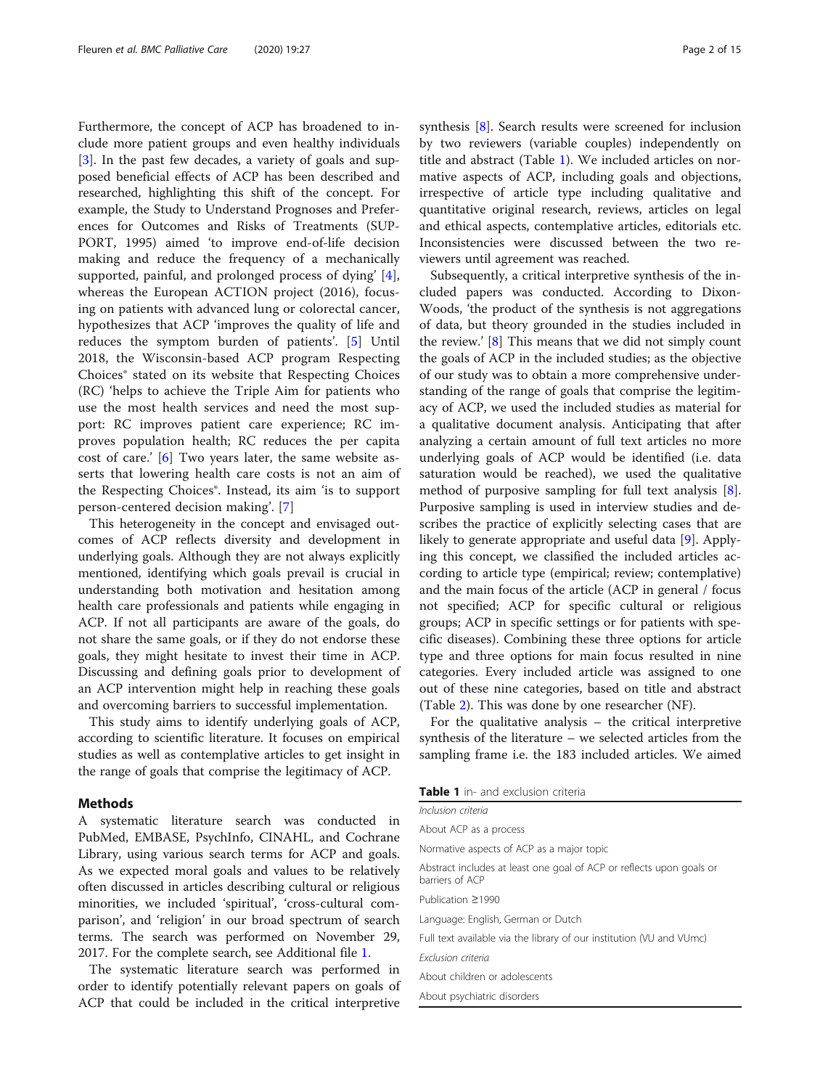Furthermore, the concept of ACP has broadened to include more patient groups and even healthy individuals [[3\]](#page-13-0). In the past few decades, a variety of goals and supposed beneficial effects of ACP has been described and researched, highlighting this shift of the concept. For example, the Study to Understand Prognoses and Preferences for Outcomes and Risks of Treatments (SUP-PORT, 1995) aimed 'to improve end-of-life decision making and reduce the frequency of a mechanically supported, painful, and prolonged process of dying' [\[4](#page-13-0)], whereas the European ACTION project (2016), focusing on patients with advanced lung or colorectal cancer, hypothesizes that ACP 'improves the quality of life and reduces the symptom burden of patients'. [[5\]](#page-13-0) Until 2018, the Wisconsin-based ACP program Respecting Choices® stated on its website that Respecting Choices (RC) 'helps to achieve the Triple Aim for patients who use the most health services and need the most support: RC improves patient care experience; RC improves population health; RC reduces the per capita cost of care.' [[6\]](#page-13-0) Two years later, the same website asserts that lowering health care costs is not an aim of the Respecting Choices®. Instead, its aim 'is to support person-centered decision making'. [[7\]](#page-13-0)

This heterogeneity in the concept and envisaged outcomes of ACP reflects diversity and development in underlying goals. Although they are not always explicitly mentioned, identifying which goals prevail is crucial in understanding both motivation and hesitation among health care professionals and patients while engaging in ACP. If not all participants are aware of the goals, do not share the same goals, or if they do not endorse these goals, they might hesitate to invest their time in ACP. Discussing and defining goals prior to development of an ACP intervention might help in reaching these goals and overcoming barriers to successful implementation.

This study aims to identify underlying goals of ACP, according to scientific literature. It focuses on empirical studies as well as contemplative articles to get insight in the range of goals that comprise the legitimacy of ACP.

#### Methods

A systematic literature search was conducted in PubMed, EMBASE, PsychInfo, CINAHL, and Cochrane Library, using various search terms for ACP and goals. As we expected moral goals and values to be relatively often discussed in articles describing cultural or religious minorities, we included 'spiritual', 'cross-cultural comparison', and 'religion' in our broad spectrum of search terms. The search was performed on November 29, 2017. For the complete search, see Additional file [1](#page-12-0).

The systematic literature search was performed in order to identify potentially relevant papers on goals of ACP that could be included in the critical interpretive synthesis [\[8](#page-13-0)]. Search results were screened for inclusion by two reviewers (variable couples) independently on title and abstract (Table 1). We included articles on normative aspects of ACP, including goals and objections, irrespective of article type including qualitative and quantitative original research, reviews, articles on legal and ethical aspects, contemplative articles, editorials etc. Inconsistencies were discussed between the two reviewers until agreement was reached.

Subsequently, a critical interpretive synthesis of the included papers was conducted. According to Dixon-Woods, 'the product of the synthesis is not aggregations of data, but theory grounded in the studies included in the review.'  $[8]$  $[8]$  This means that we did not simply count the goals of ACP in the included studies; as the objective of our study was to obtain a more comprehensive understanding of the range of goals that comprise the legitimacy of ACP, we used the included studies as material for a qualitative document analysis. Anticipating that after analyzing a certain amount of full text articles no more underlying goals of ACP would be identified (i.e. data saturation would be reached), we used the qualitative method of purposive sampling for full text analysis [\[8](#page-13-0)]. Purposive sampling is used in interview studies and describes the practice of explicitly selecting cases that are likely to generate appropriate and useful data [\[9](#page-13-0)]. Applying this concept, we classified the included articles according to article type (empirical; review; contemplative) and the main focus of the article (ACP in general / focus not specified; ACP for specific cultural or religious groups; ACP in specific settings or for patients with specific diseases). Combining these three options for article type and three options for main focus resulted in nine categories. Every included article was assigned to one out of these nine categories, based on title and abstract (Table [2\)](#page-2-0). This was done by one researcher (NF).

For the qualitative analysis – the critical interpretive synthesis of the literature – we selected articles from the sampling frame i.e. the 183 included articles. We aimed

Table 1 in- and exclusion criteria

| Inclusion criteria                                                                      |  |
|-----------------------------------------------------------------------------------------|--|
| About ACP as a process                                                                  |  |
| Normative aspects of ACP as a major topic                                               |  |
| Abstract includes at least one goal of ACP or reflects upon goals or<br>barriers of ACP |  |
| Publication >1990                                                                       |  |
| Language: English, German or Dutch                                                      |  |
| Full text available via the library of our institution (VU and VUmc)                    |  |
| <b>Fxclusion criteria</b>                                                               |  |
| About children or adolescents                                                           |  |
| About psychiatric disorders                                                             |  |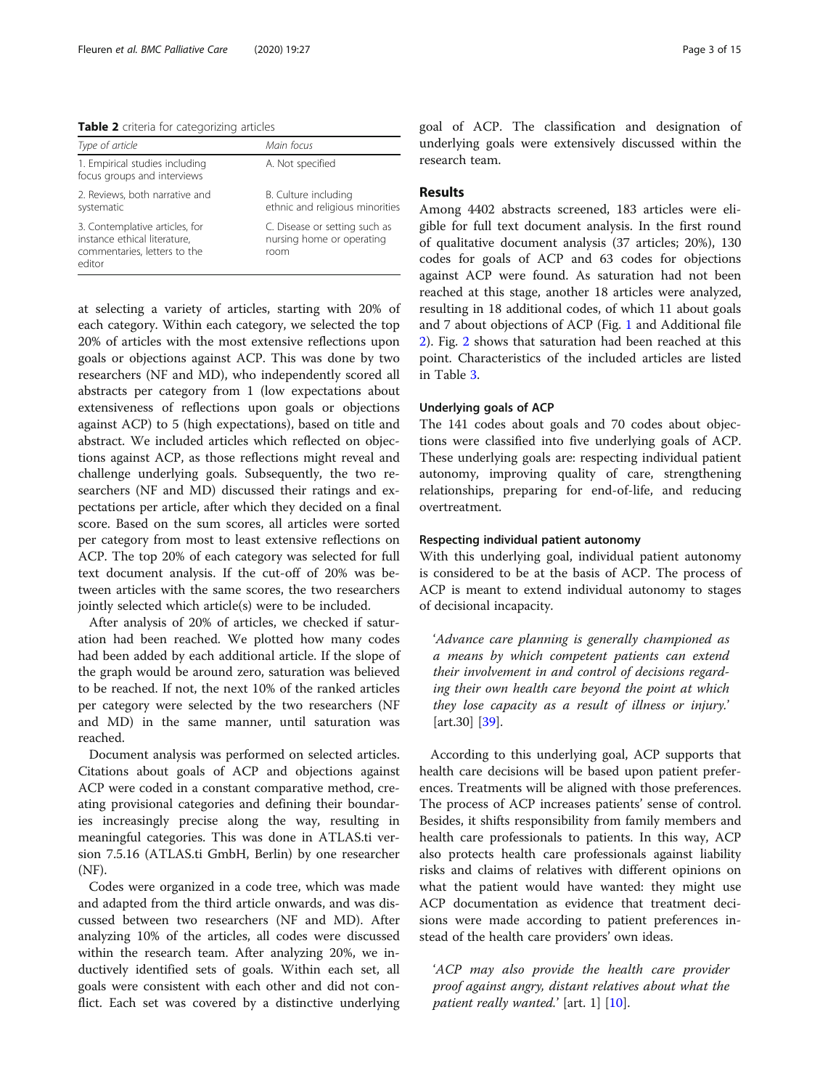<span id="page-2-0"></span>Table 2 criteria for categorizing articles

| Type of article                                                                                          | Main focus                                                         |
|----------------------------------------------------------------------------------------------------------|--------------------------------------------------------------------|
| 1. Empirical studies including<br>focus groups and interviews                                            | A. Not specified                                                   |
| 2. Reviews, both narrative and<br>systematic                                                             | B. Culture including<br>ethnic and religious minorities            |
| 3. Contemplative articles, for<br>instance ethical literature,<br>commentaries, letters to the<br>editor | C. Disease or setting such as<br>nursing home or operating<br>room |

at selecting a variety of articles, starting with 20% of each category. Within each category, we selected the top 20% of articles with the most extensive reflections upon goals or objections against ACP. This was done by two researchers (NF and MD), who independently scored all abstracts per category from 1 (low expectations about extensiveness of reflections upon goals or objections against ACP) to 5 (high expectations), based on title and abstract. We included articles which reflected on objections against ACP, as those reflections might reveal and challenge underlying goals. Subsequently, the two researchers (NF and MD) discussed their ratings and expectations per article, after which they decided on a final score. Based on the sum scores, all articles were sorted per category from most to least extensive reflections on ACP. The top 20% of each category was selected for full text document analysis. If the cut-off of 20% was between articles with the same scores, the two researchers jointly selected which article(s) were to be included.

After analysis of 20% of articles, we checked if saturation had been reached. We plotted how many codes had been added by each additional article. If the slope of the graph would be around zero, saturation was believed to be reached. If not, the next 10% of the ranked articles per category were selected by the two researchers (NF and MD) in the same manner, until saturation was reached.

Document analysis was performed on selected articles. Citations about goals of ACP and objections against ACP were coded in a constant comparative method, creating provisional categories and defining their boundaries increasingly precise along the way, resulting in meaningful categories. This was done in ATLAS.ti version 7.5.16 (ATLAS.ti GmbH, Berlin) by one researcher (NF).

Codes were organized in a code tree, which was made and adapted from the third article onwards, and was discussed between two researchers (NF and MD). After analyzing 10% of the articles, all codes were discussed within the research team. After analyzing 20%, we inductively identified sets of goals. Within each set, all goals were consistent with each other and did not conflict. Each set was covered by a distinctive underlying goal of ACP. The classification and designation of underlying goals were extensively discussed within the research team.

### Results

Among 4402 abstracts screened, 183 articles were eligible for full text document analysis. In the first round of qualitative document analysis (37 articles; 20%), 130 codes for goals of ACP and 63 codes for objections against ACP were found. As saturation had not been reached at this stage, another 18 articles were analyzed, resulting in 18 additional codes, of which 11 about goals and 7 about objections of ACP (Fig. [1](#page-3-0) and Additional file [2\)](#page-12-0). Fig. [2](#page-4-0) shows that saturation had been reached at this point. Characteristics of the included articles are listed in Table [3.](#page-5-0)

#### Underlying goals of ACP

The 141 codes about goals and 70 codes about objections were classified into five underlying goals of ACP. These underlying goals are: respecting individual patient autonomy, improving quality of care, strengthening relationships, preparing for end-of-life, and reducing overtreatment.

### Respecting individual patient autonomy

With this underlying goal, individual patient autonomy is considered to be at the basis of ACP. The process of ACP is meant to extend individual autonomy to stages of decisional incapacity.

'Advance care planning is generally championed as a means by which competent patients can extend their involvement in and control of decisions regarding their own health care beyond the point at which they lose capacity as a result of illness or injury.' [art.30] [\[39](#page-13-0)].

According to this underlying goal, ACP supports that health care decisions will be based upon patient preferences. Treatments will be aligned with those preferences. The process of ACP increases patients' sense of control. Besides, it shifts responsibility from family members and health care professionals to patients. In this way, ACP also protects health care professionals against liability risks and claims of relatives with different opinions on what the patient would have wanted: they might use ACP documentation as evidence that treatment decisions were made according to patient preferences instead of the health care providers' own ideas.

'ACP may also provide the health care provider proof against angry, distant relatives about what the patient really wanted.'  $[\text{art. 1}]$   $[10]$  $[10]$ .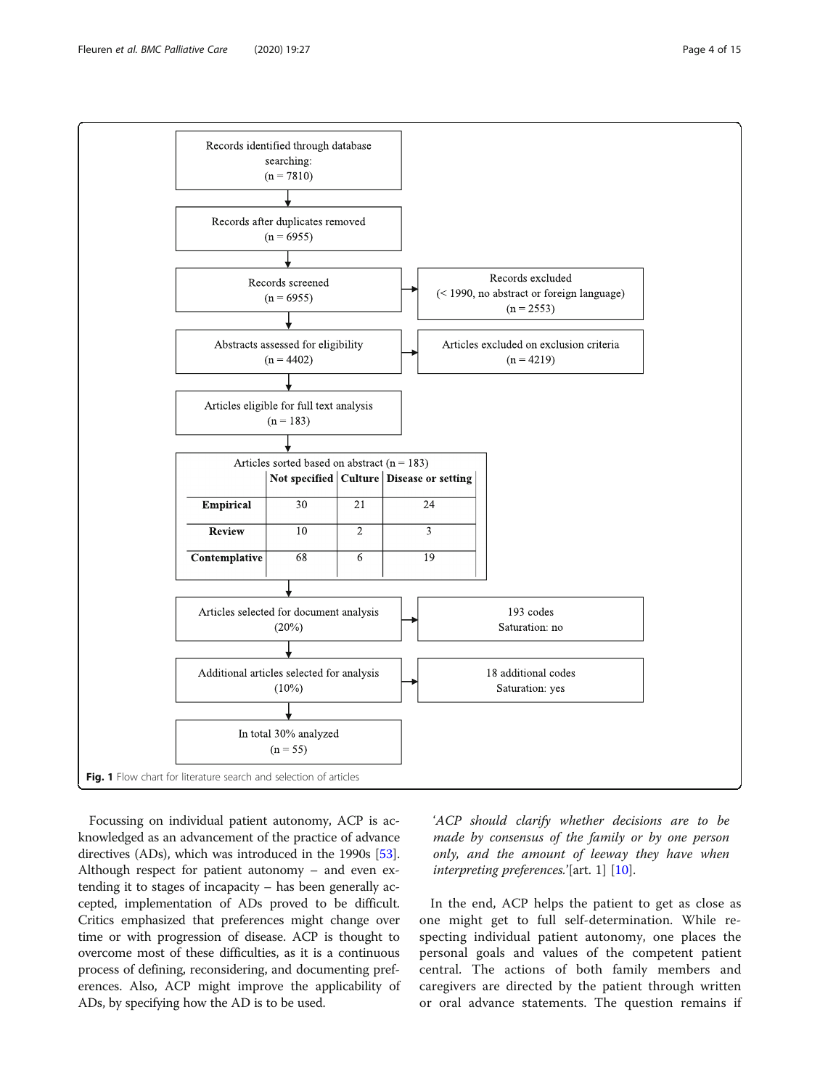<span id="page-3-0"></span>

Focussing on individual patient autonomy, ACP is acknowledged as an advancement of the practice of advance directives (ADs), which was introduced in the 1990s [[53](#page-14-0)]. Although respect for patient autonomy – and even extending it to stages of incapacity – has been generally accepted, implementation of ADs proved to be difficult. Critics emphasized that preferences might change over time or with progression of disease. ACP is thought to overcome most of these difficulties, as it is a continuous process of defining, reconsidering, and documenting preferences. Also, ACP might improve the applicability of ADs, by specifying how the AD is to be used.

'ACP should clarify whether decisions are to be made by consensus of the family or by one person only, and the amount of leeway they have when interpreting preferences.'[art. 1] [[10\]](#page-13-0).

In the end, ACP helps the patient to get as close as one might get to full self-determination. While respecting individual patient autonomy, one places the personal goals and values of the competent patient central. The actions of both family members and caregivers are directed by the patient through written or oral advance statements. The question remains if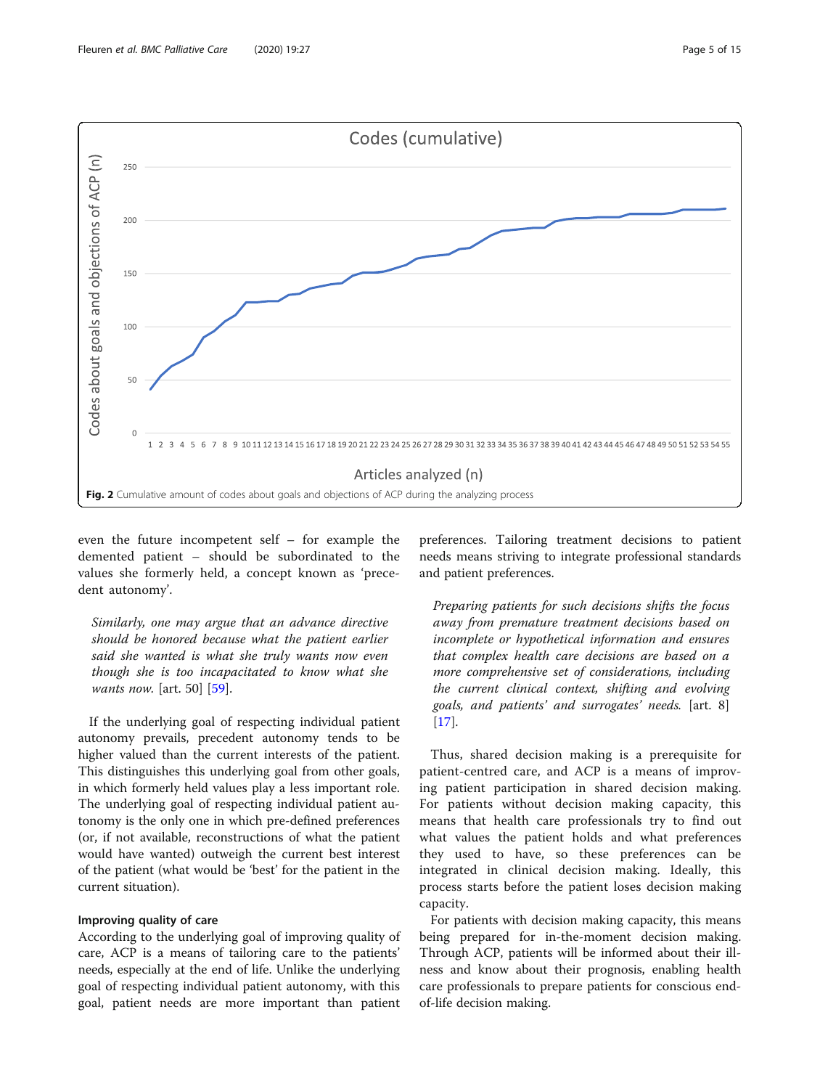<span id="page-4-0"></span>

even the future incompetent self – for example the demented patient – should be subordinated to the values she formerly held, a concept known as 'precedent autonomy'.

Similarly, one may argue that an advance directive should be honored because what the patient earlier said she wanted is what she truly wants now even though she is too incapacitated to know what she wants now. [art. 50] [[59\]](#page-14-0).

If the underlying goal of respecting individual patient autonomy prevails, precedent autonomy tends to be higher valued than the current interests of the patient. This distinguishes this underlying goal from other goals, in which formerly held values play a less important role. The underlying goal of respecting individual patient autonomy is the only one in which pre-defined preferences (or, if not available, reconstructions of what the patient would have wanted) outweigh the current best interest of the patient (what would be 'best' for the patient in the current situation).

#### Improving quality of care

According to the underlying goal of improving quality of care, ACP is a means of tailoring care to the patients' needs, especially at the end of life. Unlike the underlying goal of respecting individual patient autonomy, with this goal, patient needs are more important than patient

preferences. Tailoring treatment decisions to patient needs means striving to integrate professional standards and patient preferences.

Preparing patients for such decisions shifts the focus away from premature treatment decisions based on incomplete or hypothetical information and ensures that complex health care decisions are based on a more comprehensive set of considerations, including the current clinical context, shifting and evolving goals, and patients' and surrogates' needs. [art. 8] [[17\]](#page-13-0).

Thus, shared decision making is a prerequisite for patient-centred care, and ACP is a means of improving patient participation in shared decision making. For patients without decision making capacity, this means that health care professionals try to find out what values the patient holds and what preferences they used to have, so these preferences can be integrated in clinical decision making. Ideally, this process starts before the patient loses decision making capacity.

For patients with decision making capacity, this means being prepared for in-the-moment decision making. Through ACP, patients will be informed about their illness and know about their prognosis, enabling health care professionals to prepare patients for conscious endof-life decision making.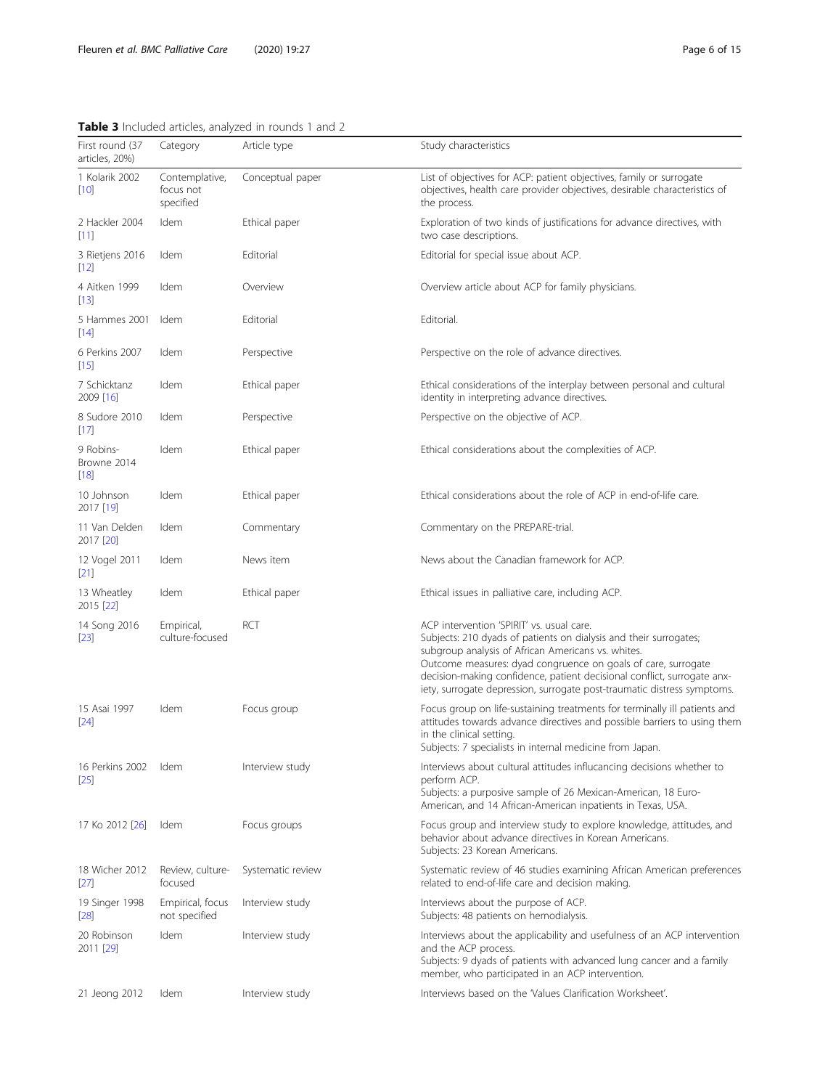# <span id="page-5-0"></span>Table 3 Included articles, analyzed in rounds 1 and 2

| First round (37<br>articles, 20%) | Category                                 | Article type      | Study characteristics                                                                                                                                                                                                                                                                                                                                                                       |
|-----------------------------------|------------------------------------------|-------------------|---------------------------------------------------------------------------------------------------------------------------------------------------------------------------------------------------------------------------------------------------------------------------------------------------------------------------------------------------------------------------------------------|
| 1 Kolarik 2002<br>$[10]$          | Contemplative,<br>focus not<br>specified | Conceptual paper  | List of objectives for ACP: patient objectives, family or surrogate<br>objectives, health care provider objectives, desirable characteristics of<br>the process.                                                                                                                                                                                                                            |
| 2 Hackler 2004<br>$[11]$          | Idem                                     | Ethical paper     | Exploration of two kinds of justifications for advance directives, with<br>two case descriptions.                                                                                                                                                                                                                                                                                           |
| 3 Rietjens 2016<br>$[12]$         | Idem                                     | Editorial         | Editorial for special issue about ACP.                                                                                                                                                                                                                                                                                                                                                      |
| 4 Aitken 1999<br>[13]             | Idem                                     | Overview          | Overview article about ACP for family physicians.                                                                                                                                                                                                                                                                                                                                           |
| 5 Hammes 2001<br>[14]             | Idem                                     | Editorial         | Editorial.                                                                                                                                                                                                                                                                                                                                                                                  |
| 6 Perkins 2007<br>$[15]$          | Idem                                     | Perspective       | Perspective on the role of advance directives.                                                                                                                                                                                                                                                                                                                                              |
| 7 Schicktanz<br>2009 [16]         | Idem                                     | Ethical paper     | Ethical considerations of the interplay between personal and cultural<br>identity in interpreting advance directives.                                                                                                                                                                                                                                                                       |
| 8 Sudore 2010<br>[17]             | Idem                                     | Perspective       | Perspective on the objective of ACP.                                                                                                                                                                                                                                                                                                                                                        |
| 9 Robins-<br>Browne 2014<br>[18]  | Idem                                     | Ethical paper     | Ethical considerations about the complexities of ACP.                                                                                                                                                                                                                                                                                                                                       |
| 10 Johnson<br>2017 [19]           | Idem                                     | Ethical paper     | Ethical considerations about the role of ACP in end-of-life care.                                                                                                                                                                                                                                                                                                                           |
| 11 Van Delden<br>2017 [20]        | Idem                                     | Commentary        | Commentary on the PREPARE-trial.                                                                                                                                                                                                                                                                                                                                                            |
| 12 Vogel 2011<br>$[21]$           | Idem                                     | News item         | News about the Canadian framework for ACP.                                                                                                                                                                                                                                                                                                                                                  |
| 13 Wheatley<br>2015 [22]          | Idem                                     | Ethical paper     | Ethical issues in palliative care, including ACP.                                                                                                                                                                                                                                                                                                                                           |
| 14 Song 2016<br>$[23]$            | Empirical,<br>culture-focused            | RCT               | ACP intervention 'SPIRIT' vs. usual care.<br>Subjects: 210 dyads of patients on dialysis and their surrogates;<br>subgroup analysis of African Americans vs. whites.<br>Outcome measures: dyad congruence on goals of care, surrogate<br>decision-making confidence, patient decisional conflict, surrogate anx-<br>iety, surrogate depression, surrogate post-traumatic distress symptoms. |
| 15 Asai 1997<br>$[24]$            | Idem                                     | Focus group       | Focus group on life-sustaining treatments for terminally ill patients and<br>attitudes towards advance directives and possible barriers to using them<br>in the clinical setting.<br>Subjects: 7 specialists in internal medicine from Japan.                                                                                                                                               |
| 16 Perkins 2002<br>[25]           | Idem                                     | Interview study   | Interviews about cultural attitudes influcancing decisions whether to<br>perform ACP.<br>Subjects: a purposive sample of 26 Mexican-American, 18 Euro-<br>American, and 14 African-American inpatients in Texas, USA.                                                                                                                                                                       |
| 17 Ko 2012 [26]                   | Idem                                     | Focus groups      | Focus group and interview study to explore knowledge, attitudes, and<br>behavior about advance directives in Korean Americans.<br>Subjects: 23 Korean Americans.                                                                                                                                                                                                                            |
| 18 Wicher 2012<br>$[27]$          | Review, culture-<br>focused              | Systematic review | Systematic review of 46 studies examining African American preferences<br>related to end-of-life care and decision making.                                                                                                                                                                                                                                                                  |
| 19 Singer 1998<br>$[28]$          | Empirical, focus<br>not specified        | Interview study   | Interviews about the purpose of ACP.<br>Subjects: 48 patients on hemodialysis.                                                                                                                                                                                                                                                                                                              |
| 20 Robinson<br>2011 [29]          | Idem                                     | Interview study   | Interviews about the applicability and usefulness of an ACP intervention<br>and the ACP process.<br>Subjects: 9 dyads of patients with advanced lung cancer and a family<br>member, who participated in an ACP intervention.                                                                                                                                                                |
| 21 Jeong 2012                     | Idem                                     | Interview study   | Interviews based on the 'Values Clarification Worksheet'.                                                                                                                                                                                                                                                                                                                                   |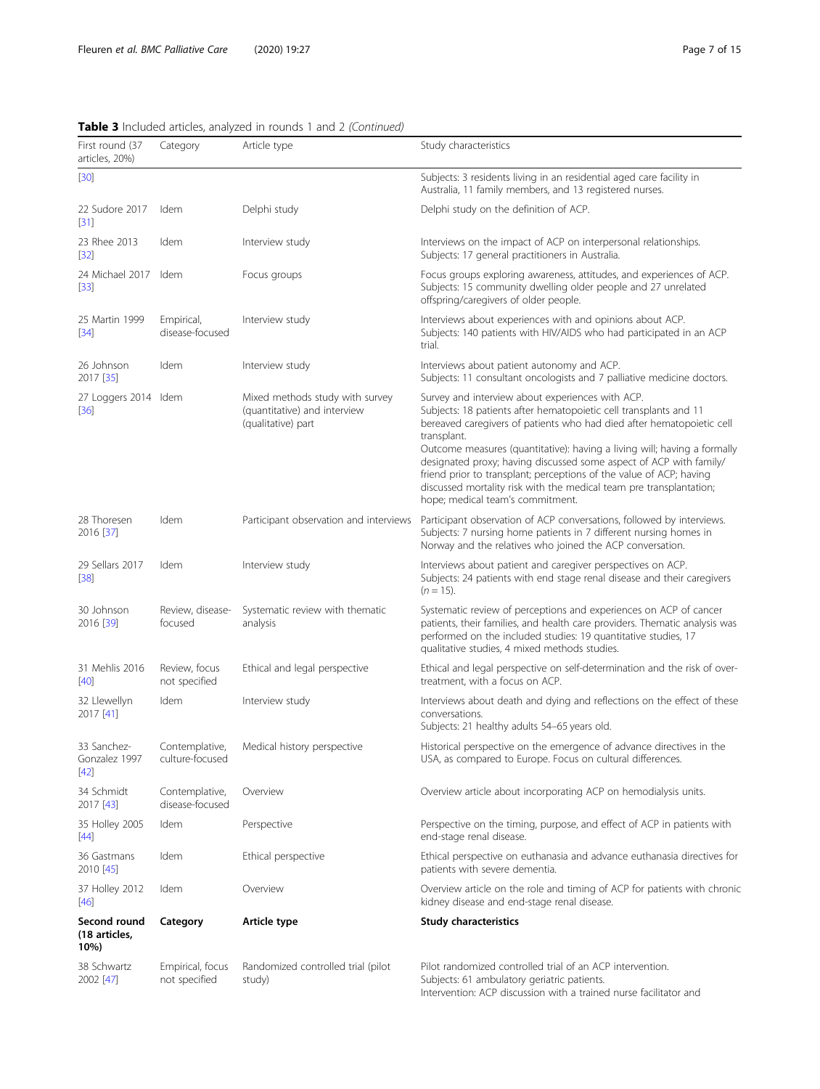| First round (37<br>articles, 20%)      | Category                          | Article type                                                                          | Study characteristics                                                                                                                                                                                                                                                                                                                                                                                                                                                                                                                             |
|----------------------------------------|-----------------------------------|---------------------------------------------------------------------------------------|---------------------------------------------------------------------------------------------------------------------------------------------------------------------------------------------------------------------------------------------------------------------------------------------------------------------------------------------------------------------------------------------------------------------------------------------------------------------------------------------------------------------------------------------------|
| $[30]$                                 |                                   |                                                                                       | Subjects: 3 residents living in an residential aged care facility in<br>Australia, 11 family members, and 13 registered nurses.                                                                                                                                                                                                                                                                                                                                                                                                                   |
| 22 Sudore 2017<br>[31]                 | Idem                              | Delphi study                                                                          | Delphi study on the definition of ACP.                                                                                                                                                                                                                                                                                                                                                                                                                                                                                                            |
| 23 Rhee 2013<br>$[32]$                 | Idem                              | Interview study                                                                       | Interviews on the impact of ACP on interpersonal relationships.<br>Subjects: 17 general practitioners in Australia.                                                                                                                                                                                                                                                                                                                                                                                                                               |
| 24 Michael 2017<br>$[33]$              | Idem                              | Focus groups                                                                          | Focus groups exploring awareness, attitudes, and experiences of ACP.<br>Subjects: 15 community dwelling older people and 27 unrelated<br>offspring/caregivers of older people.                                                                                                                                                                                                                                                                                                                                                                    |
| 25 Martin 1999<br>$[34]$               | Empirical,<br>disease-focused     | Interview study                                                                       | Interviews about experiences with and opinions about ACP.<br>Subjects: 140 patients with HIV/AIDS who had participated in an ACP<br>trial.                                                                                                                                                                                                                                                                                                                                                                                                        |
| 26 Johnson<br>2017 [35]                | Idem                              | Interview study                                                                       | Interviews about patient autonomy and ACP.<br>Subjects: 11 consultant oncologists and 7 palliative medicine doctors.                                                                                                                                                                                                                                                                                                                                                                                                                              |
| 27 Loggers 2014 Idem<br>$[36]$         |                                   | Mixed methods study with survey<br>(quantitative) and interview<br>(qualitative) part | Survey and interview about experiences with ACP.<br>Subjects: 18 patients after hematopoietic cell transplants and 11<br>bereaved caregivers of patients who had died after hematopoietic cell<br>transplant.<br>Outcome measures (quantitative): having a living will; having a formally<br>designated proxy; having discussed some aspect of ACP with family/<br>friend prior to transplant; perceptions of the value of ACP; having<br>discussed mortality risk with the medical team pre transplantation;<br>hope; medical team's commitment. |
| 28 Thoresen<br>2016 [37]               | Idem                              | Participant observation and interviews                                                | Participant observation of ACP conversations, followed by interviews.<br>Subjects: 7 nursing home patients in 7 different nursing homes in<br>Norway and the relatives who joined the ACP conversation.                                                                                                                                                                                                                                                                                                                                           |
| 29 Sellars 2017<br>$[38]$              | Idem                              | Interview study                                                                       | Interviews about patient and caregiver perspectives on ACP.<br>Subjects: 24 patients with end stage renal disease and their caregivers<br>$(n = 15)$ .                                                                                                                                                                                                                                                                                                                                                                                            |
| 30 Johnson<br>2016 [39]                | Review, disease-<br>focused       | Systematic review with thematic<br>analysis                                           | Systematic review of perceptions and experiences on ACP of cancer<br>patients, their families, and health care providers. Thematic analysis was<br>performed on the included studies: 19 quantitative studies, 17<br>qualitative studies, 4 mixed methods studies.                                                                                                                                                                                                                                                                                |
| 31 Mehlis 2016<br>$[40]$               | Review, focus<br>not specified    | Ethical and legal perspective                                                         | Ethical and legal perspective on self-determination and the risk of over-<br>treatment, with a focus on ACP.                                                                                                                                                                                                                                                                                                                                                                                                                                      |
| 32 Llewellyn<br>2017 [41]              | Idem                              | Interview study                                                                       | Interviews about death and dying and reflections on the effect of these<br>conversations.<br>Subjects: 21 healthy adults 54-65 years old.                                                                                                                                                                                                                                                                                                                                                                                                         |
| 33 Sanchez-<br>Gonzalez 1997<br>$[42]$ | Contemplative,<br>culture-focused | Medical history perspective                                                           | Historical perspective on the emergence of advance directives in the<br>USA, as compared to Europe. Focus on cultural differences.                                                                                                                                                                                                                                                                                                                                                                                                                |
| 34 Schmidt<br>2017 [43]                | Contemplative,<br>disease-focused | Overview                                                                              | Overview article about incorporating ACP on hemodialysis units.                                                                                                                                                                                                                                                                                                                                                                                                                                                                                   |
| 35 Holley 2005<br>$[44]$               | Idem                              | Perspective                                                                           | Perspective on the timing, purpose, and effect of ACP in patients with<br>end-stage renal disease.                                                                                                                                                                                                                                                                                                                                                                                                                                                |
| 36 Gastmans<br>2010 [45]               | Idem                              | Ethical perspective                                                                   | Ethical perspective on euthanasia and advance euthanasia directives for<br>patients with severe dementia.                                                                                                                                                                                                                                                                                                                                                                                                                                         |
| 37 Holley 2012<br>$[46]$               | Idem                              | Overview                                                                              | Overview article on the role and timing of ACP for patients with chronic<br>kidney disease and end-stage renal disease.                                                                                                                                                                                                                                                                                                                                                                                                                           |
| Second round<br>(18 articles,<br>10%)  | Category                          | Article type                                                                          | <b>Study characteristics</b>                                                                                                                                                                                                                                                                                                                                                                                                                                                                                                                      |
| 38 Schwartz<br>2002 [47]               | Empirical, focus<br>not specified | Randomized controlled trial (pilot<br>study)                                          | Pilot randomized controlled trial of an ACP intervention.<br>Subjects: 61 ambulatory geriatric patients.                                                                                                                                                                                                                                                                                                                                                                                                                                          |

# Table 3 Included articles, analyzed in rounds 1 and 2 (Continued)

Intervention: ACP discussion with a trained nurse facilitator and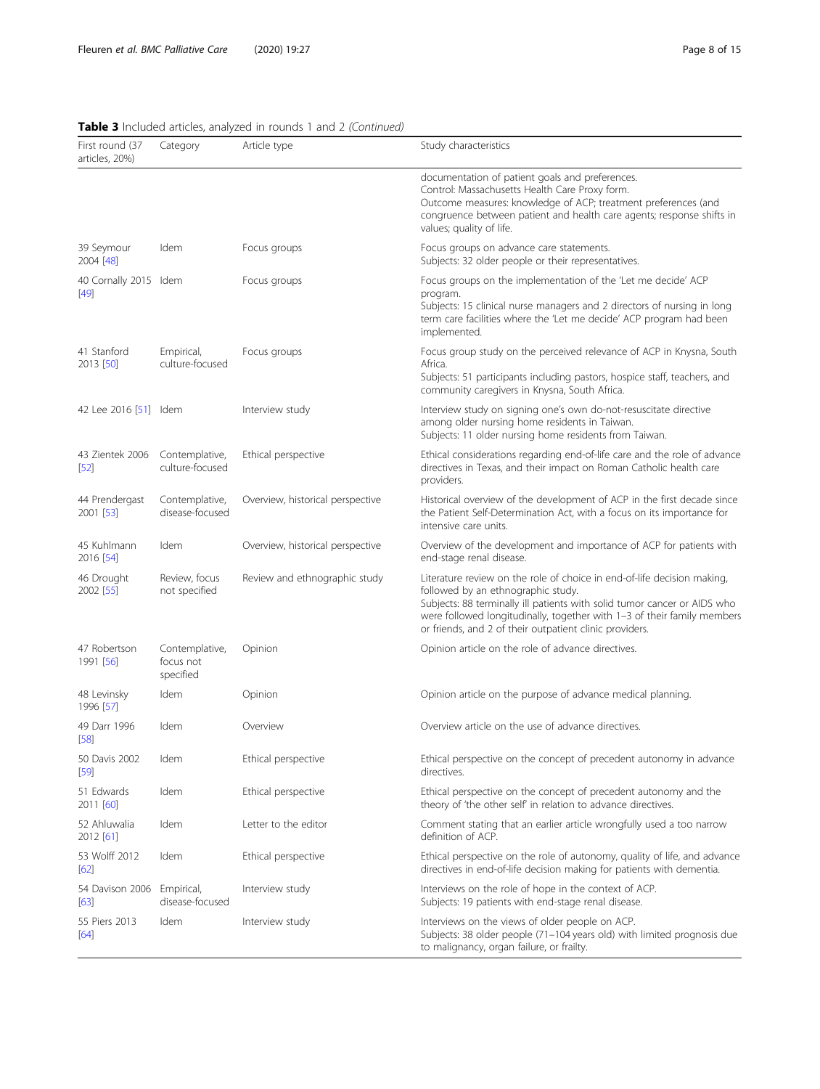| First round (37<br>articles, 20%) | Category                                 | Article type                     | Study characteristics                                                                                                                                                                                                                                                                                                           |
|-----------------------------------|------------------------------------------|----------------------------------|---------------------------------------------------------------------------------------------------------------------------------------------------------------------------------------------------------------------------------------------------------------------------------------------------------------------------------|
|                                   |                                          |                                  | documentation of patient goals and preferences.<br>Control: Massachusetts Health Care Proxy form.<br>Outcome measures: knowledge of ACP; treatment preferences (and<br>congruence between patient and health care agents; response shifts in<br>values; quality of life.                                                        |
| 39 Seymour<br>2004 [48]           | Idem                                     | Focus groups                     | Focus groups on advance care statements.<br>Subjects: 32 older people or their representatives.                                                                                                                                                                                                                                 |
| 40 Cornally 2015 Idem<br>$[49]$   |                                          | Focus groups                     | Focus groups on the implementation of the 'Let me decide' ACP<br>program.<br>Subjects: 15 clinical nurse managers and 2 directors of nursing in long<br>term care facilities where the 'Let me decide' ACP program had been<br>implemented.                                                                                     |
| 41 Stanford<br>2013 [50]          | Empirical,<br>culture-focused            | Focus groups                     | Focus group study on the perceived relevance of ACP in Knysna, South<br>Africa.<br>Subjects: 51 participants including pastors, hospice staff, teachers, and<br>community caregivers in Knysna, South Africa.                                                                                                                   |
| 42 Lee 2016 [51] Idem             |                                          | Interview study                  | Interview study on signing one's own do-not-resuscitate directive<br>among older nursing home residents in Taiwan.<br>Subjects: 11 older nursing home residents from Taiwan.                                                                                                                                                    |
| 43 Zientek 2006<br>$[52]$         | Contemplative,<br>culture-focused        | Ethical perspective              | Ethical considerations regarding end-of-life care and the role of advance<br>directives in Texas, and their impact on Roman Catholic health care<br>providers.                                                                                                                                                                  |
| 44 Prendergast<br>2001 [53]       | Contemplative,<br>disease-focused        | Overview, historical perspective | Historical overview of the development of ACP in the first decade since<br>the Patient Self-Determination Act, with a focus on its importance for<br>intensive care units.                                                                                                                                                      |
| 45 Kuhlmann<br>2016 [54]          | Idem                                     | Overview, historical perspective | Overview of the development and importance of ACP for patients with<br>end-stage renal disease.                                                                                                                                                                                                                                 |
| 46 Drought<br>2002 [55]           | Review, focus<br>not specified           | Review and ethnographic study    | Literature review on the role of choice in end-of-life decision making,<br>followed by an ethnographic study.<br>Subjects: 88 terminally ill patients with solid tumor cancer or AIDS who<br>were followed longitudinally, together with 1-3 of their family members<br>or friends, and 2 of their outpatient clinic providers. |
| 47 Robertson<br>1991 [56]         | Contemplative,<br>focus not<br>specified | Opinion                          | Opinion article on the role of advance directives.                                                                                                                                                                                                                                                                              |
| 48 Levinsky<br>1996 [57]          | Idem                                     | Opinion                          | Opinion article on the purpose of advance medical planning.                                                                                                                                                                                                                                                                     |
| 49 Darr 1996<br>$[58]$            | Idem                                     | Overview                         | Overview article on the use of advance directives.                                                                                                                                                                                                                                                                              |
| 50 Davis 2002<br>$[59]$           | Idem                                     | Ethical perspective              | Ethical perspective on the concept of precedent autonomy in advance<br>directives.                                                                                                                                                                                                                                              |
| 51 Edwards<br>2011 [60]           | Idem                                     | Ethical perspective              | Ethical perspective on the concept of precedent autonomy and the<br>theory of 'the other self' in relation to advance directives.                                                                                                                                                                                               |
| 52 Ahluwalia<br>2012 [61]         | Idem                                     | Letter to the editor             | Comment stating that an earlier article wrongfully used a too narrow<br>definition of ACP.                                                                                                                                                                                                                                      |
| 53 Wolff 2012<br>[62]             | Idem                                     | Ethical perspective              | Ethical perspective on the role of autonomy, quality of life, and advance<br>directives in end-of-life decision making for patients with dementia.                                                                                                                                                                              |
| 54 Davison 2006<br>[63]           | Empirical,<br>disease-focused            | Interview study                  | Interviews on the role of hope in the context of ACP.<br>Subjects: 19 patients with end-stage renal disease.                                                                                                                                                                                                                    |
| 55 Piers 2013<br>[64]             | Idem                                     | Interview study                  | Interviews on the views of older people on ACP.<br>Subjects: 38 older people (71-104 years old) with limited prognosis due<br>to malignancy, organ failure, or frailty.                                                                                                                                                         |

# Table 3 Included articles, analyzed in rounds 1 and 2 (Continued)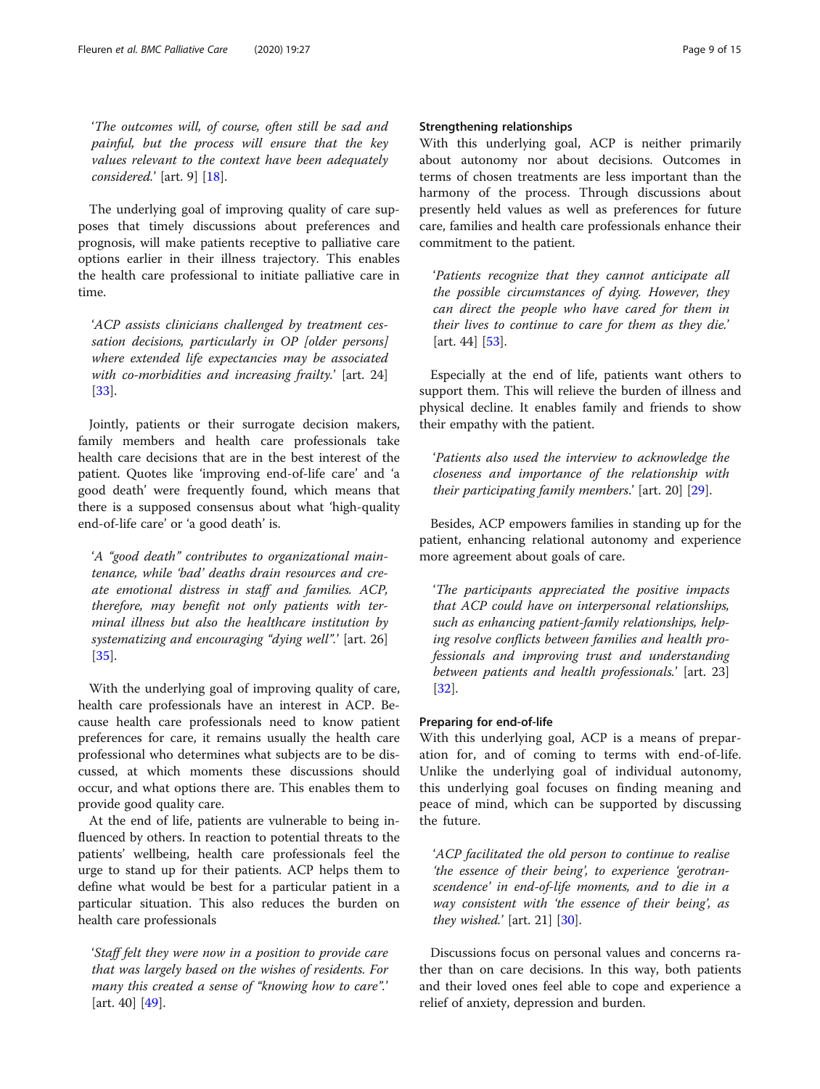'The outcomes will, of course, often still be sad and painful, but the process will ensure that the key values relevant to the context have been adequately considered.' [art. 9] [\[18\]](#page-13-0).

The underlying goal of improving quality of care supposes that timely discussions about preferences and prognosis, will make patients receptive to palliative care options earlier in their illness trajectory. This enables the health care professional to initiate palliative care in time.

'ACP assists clinicians challenged by treatment cessation decisions, particularly in OP [older persons] where extended life expectancies may be associated with co-morbidities and increasing frailty.' [art. 24] [[33\]](#page-13-0).

Jointly, patients or their surrogate decision makers, family members and health care professionals take health care decisions that are in the best interest of the patient. Quotes like 'improving end-of-life care' and 'a good death' were frequently found, which means that there is a supposed consensus about what 'high-quality end-of-life care' or 'a good death' is.

'A "good death" contributes to organizational maintenance, while 'bad' deaths drain resources and create emotional distress in staff and families. ACP, therefore, may benefit not only patients with terminal illness but also the healthcare institution by systematizing and encouraging "dying well".' [art. 26] [[35\]](#page-13-0).

With the underlying goal of improving quality of care, health care professionals have an interest in ACP. Because health care professionals need to know patient preferences for care, it remains usually the health care professional who determines what subjects are to be discussed, at which moments these discussions should occur, and what options there are. This enables them to provide good quality care.

At the end of life, patients are vulnerable to being influenced by others. In reaction to potential threats to the patients' wellbeing, health care professionals feel the urge to stand up for their patients. ACP helps them to define what would be best for a particular patient in a particular situation. This also reduces the burden on health care professionals

'Staff felt they were now in a position to provide care that was largely based on the wishes of residents. For many this created a sense of "knowing how to care".' [art. 40] [\[49](#page-14-0)].

# Strengthening relationships

With this underlying goal, ACP is neither primarily about autonomy nor about decisions. Outcomes in terms of chosen treatments are less important than the harmony of the process. Through discussions about presently held values as well as preferences for future care, families and health care professionals enhance their commitment to the patient.

'Patients recognize that they cannot anticipate all the possible circumstances of dying. However, they can direct the people who have cared for them in their lives to continue to care for them as they die.' [art. 44] [\[53](#page-14-0)].

Especially at the end of life, patients want others to support them. This will relieve the burden of illness and physical decline. It enables family and friends to show their empathy with the patient.

'Patients also used the interview to acknowledge the closeness and importance of the relationship with their participating family members.' [art. 20] [\[29](#page-13-0)].

Besides, ACP empowers families in standing up for the patient, enhancing relational autonomy and experience more agreement about goals of care.

'The participants appreciated the positive impacts that ACP could have on interpersonal relationships, such as enhancing patient-family relationships, helping resolve conflicts between families and health professionals and improving trust and understanding between patients and health professionals.' [art. 23] [[32\]](#page-13-0).

#### Preparing for end-of-life

With this underlying goal, ACP is a means of preparation for, and of coming to terms with end-of-life. Unlike the underlying goal of individual autonomy, this underlying goal focuses on finding meaning and peace of mind, which can be supported by discussing the future.

'ACP facilitated the old person to continue to realise 'the essence of their being', to experience 'gerotranscendence' in end-of-life moments, and to die in a way consistent with 'the essence of their being', as they wished.'  $[art. 21]$   $[30]$  $[30]$  $[30]$ .

Discussions focus on personal values and concerns rather than on care decisions. In this way, both patients and their loved ones feel able to cope and experience a relief of anxiety, depression and burden.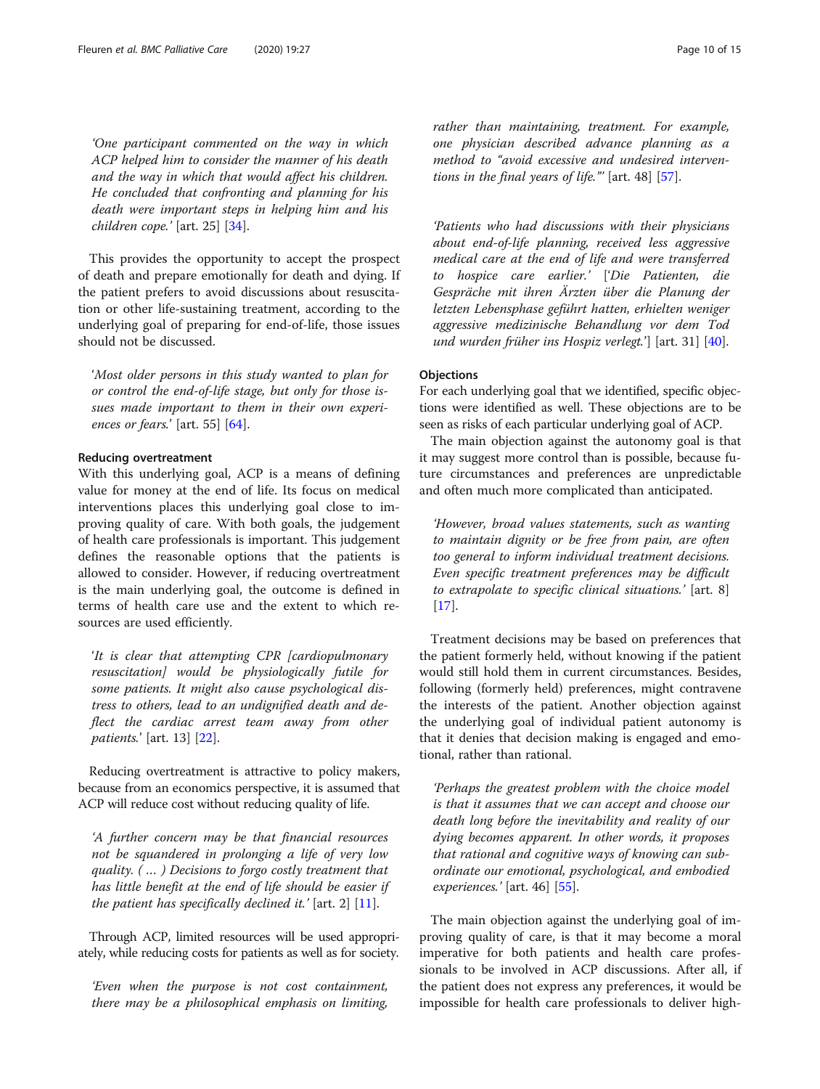'One participant commented on the way in which ACP helped him to consider the manner of his death and the way in which that would affect his children. He concluded that confronting and planning for his death were important steps in helping him and his children cope.' [art. 25] [\[34](#page-13-0)].

This provides the opportunity to accept the prospect of death and prepare emotionally for death and dying. If the patient prefers to avoid discussions about resuscitation or other life-sustaining treatment, according to the underlying goal of preparing for end-of-life, those issues should not be discussed.

'Most older persons in this study wanted to plan for or control the end-of-life stage, but only for those issues made important to them in their own experi-ences or fears.' [art. 55] [\[64](#page-14-0)].

## Reducing overtreatment

With this underlying goal, ACP is a means of defining value for money at the end of life. Its focus on medical interventions places this underlying goal close to improving quality of care. With both goals, the judgement of health care professionals is important. This judgement defines the reasonable options that the patients is allowed to consider. However, if reducing overtreatment is the main underlying goal, the outcome is defined in terms of health care use and the extent to which resources are used efficiently.

'It is clear that attempting CPR [cardiopulmonary resuscitation] would be physiologically futile for some patients. It might also cause psychological distress to others, lead to an undignified death and deflect the cardiac arrest team away from other patients.' [art. 13] [[22](#page-13-0)].

Reducing overtreatment is attractive to policy makers, because from an economics perspective, it is assumed that ACP will reduce cost without reducing quality of life.

'A further concern may be that financial resources not be squandered in prolonging a life of very low quality. ( … ) Decisions to forgo costly treatment that has little benefit at the end of life should be easier if the patient has specifically declined it.' [art. 2]  $[11]$  $[11]$  $[11]$ .

Through ACP, limited resources will be used appropriately, while reducing costs for patients as well as for society.

'Even when the purpose is not cost containment, there may be a philosophical emphasis on limiting, rather than maintaining, treatment. For example, one physician described advance planning as a method to "avoid excessive and undesired interventions in the final years of life."  $\lceil \text{art. } 48 \rceil$   $\lceil 57 \rceil$ .

'Patients who had discussions with their physicians about end-of-life planning, received less aggressive medical care at the end of life and were transferred to hospice care earlier.' ['Die Patienten, die Gespräche mit ihren Ärzten über die Planung der letzten Lebensphase geführt hatten, erhielten weniger aggressive medizinische Behandlung vor dem Tod und wurden früher ins Hospiz verlegt.'] [art. 31] [[40](#page-13-0)].

## **Objections**

For each underlying goal that we identified, specific objections were identified as well. These objections are to be seen as risks of each particular underlying goal of ACP.

The main objection against the autonomy goal is that it may suggest more control than is possible, because future circumstances and preferences are unpredictable and often much more complicated than anticipated.

'However, broad values statements, such as wanting to maintain dignity or be free from pain, are often too general to inform individual treatment decisions. Even specific treatment preferences may be difficult to extrapolate to specific clinical situations.' [art. 8] [[17\]](#page-13-0).

Treatment decisions may be based on preferences that the patient formerly held, without knowing if the patient would still hold them in current circumstances. Besides, following (formerly held) preferences, might contravene the interests of the patient. Another objection against the underlying goal of individual patient autonomy is that it denies that decision making is engaged and emotional, rather than rational.

'Perhaps the greatest problem with the choice model is that it assumes that we can accept and choose our death long before the inevitability and reality of our dying becomes apparent. In other words, it proposes that rational and cognitive ways of knowing can subordinate our emotional, psychological, and embodied experiences.' [art. 46] [[55\]](#page-14-0).

The main objection against the underlying goal of improving quality of care, is that it may become a moral imperative for both patients and health care professionals to be involved in ACP discussions. After all, if the patient does not express any preferences, it would be impossible for health care professionals to deliver high-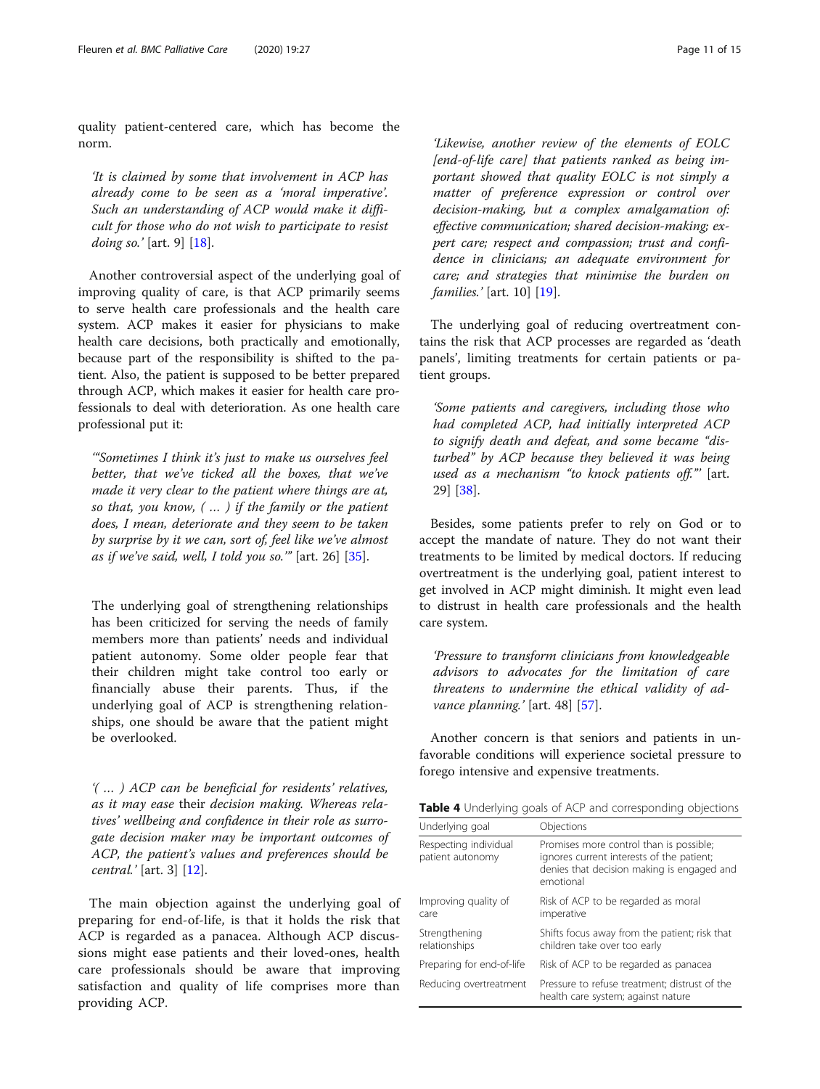<span id="page-10-0"></span>quality patient-centered care, which has become the norm.

'It is claimed by some that involvement in ACP has already come to be seen as a 'moral imperative'. Such an understanding of ACP would make it difficult for those who do not wish to participate to resist doing so.' [art. 9]  $[18]$  $[18]$  $[18]$ .

Another controversial aspect of the underlying goal of improving quality of care, is that ACP primarily seems to serve health care professionals and the health care system. ACP makes it easier for physicians to make health care decisions, both practically and emotionally, because part of the responsibility is shifted to the patient. Also, the patient is supposed to be better prepared through ACP, which makes it easier for health care professionals to deal with deterioration. As one health care professional put it:

'"Sometimes I think it's just to make us ourselves feel better, that we've ticked all the boxes, that we've made it very clear to the patient where things are at, so that, you know, ( … ) if the family or the patient does, I mean, deteriorate and they seem to be taken by surprise by it we can, sort of, feel like we've almost as if we've said, well, I told you so." [art. 26]  $[35]$  $[35]$ .

The underlying goal of strengthening relationships has been criticized for serving the needs of family members more than patients' needs and individual patient autonomy. Some older people fear that their children might take control too early or financially abuse their parents. Thus, if the underlying goal of ACP is strengthening relationships, one should be aware that the patient might be overlooked.

'( … ) ACP can be beneficial for residents' relatives, as it may ease their decision making. Whereas relatives' wellbeing and confidence in their role as surrogate decision maker may be important outcomes of ACP, the patient's values and preferences should be central.' [art. 3] [[12](#page-13-0)].

The main objection against the underlying goal of preparing for end-of-life, is that it holds the risk that ACP is regarded as a panacea. Although ACP discussions might ease patients and their loved-ones, health care professionals should be aware that improving satisfaction and quality of life comprises more than providing ACP.

'Likewise, another review of the elements of EOLC [end-of-life care] that patients ranked as being important showed that quality EOLC is not simply a matter of preference expression or control over decision-making, but a complex amalgamation of: effective communication; shared decision-making; expert care; respect and compassion; trust and confidence in clinicians; an adequate environment for care; and strategies that minimise the burden on families.' [art. 10] [[19\]](#page-13-0).

The underlying goal of reducing overtreatment contains the risk that ACP processes are regarded as 'death panels', limiting treatments for certain patients or patient groups.

'Some patients and caregivers, including those who had completed ACP, had initially interpreted ACP to signify death and defeat, and some became "disturbed" by ACP because they believed it was being used as a mechanism "to knock patients off."' [art. 29] [[38\]](#page-13-0).

Besides, some patients prefer to rely on God or to accept the mandate of nature. They do not want their treatments to be limited by medical doctors. If reducing overtreatment is the underlying goal, patient interest to get involved in ACP might diminish. It might even lead to distrust in health care professionals and the health care system.

'Pressure to transform clinicians from knowledgeable advisors to advocates for the limitation of care threatens to undermine the ethical validity of ad-vance planning.' [art. 48] [\[57](#page-14-0)].

Another concern is that seniors and patients in unfavorable conditions will experience societal pressure to forego intensive and expensive treatments.

Table 4 Underlying goals of ACP and corresponding objections

| Underlying goal                           | Objections                                                                                                                                      |
|-------------------------------------------|-------------------------------------------------------------------------------------------------------------------------------------------------|
| Respecting individual<br>patient autonomy | Promises more control than is possible;<br>ignores current interests of the patient;<br>denies that decision making is engaged and<br>emotional |
| Improving quality of<br>care              | Risk of ACP to be regarded as moral<br>imperative                                                                                               |
| Strengthening<br>relationships            | Shifts focus away from the patient; risk that<br>children take over too early                                                                   |
| Preparing for end-of-life                 | Risk of ACP to be regarded as panacea                                                                                                           |
| Reducing overtreatment                    | Pressure to refuse treatment; distrust of the<br>health care system; against nature                                                             |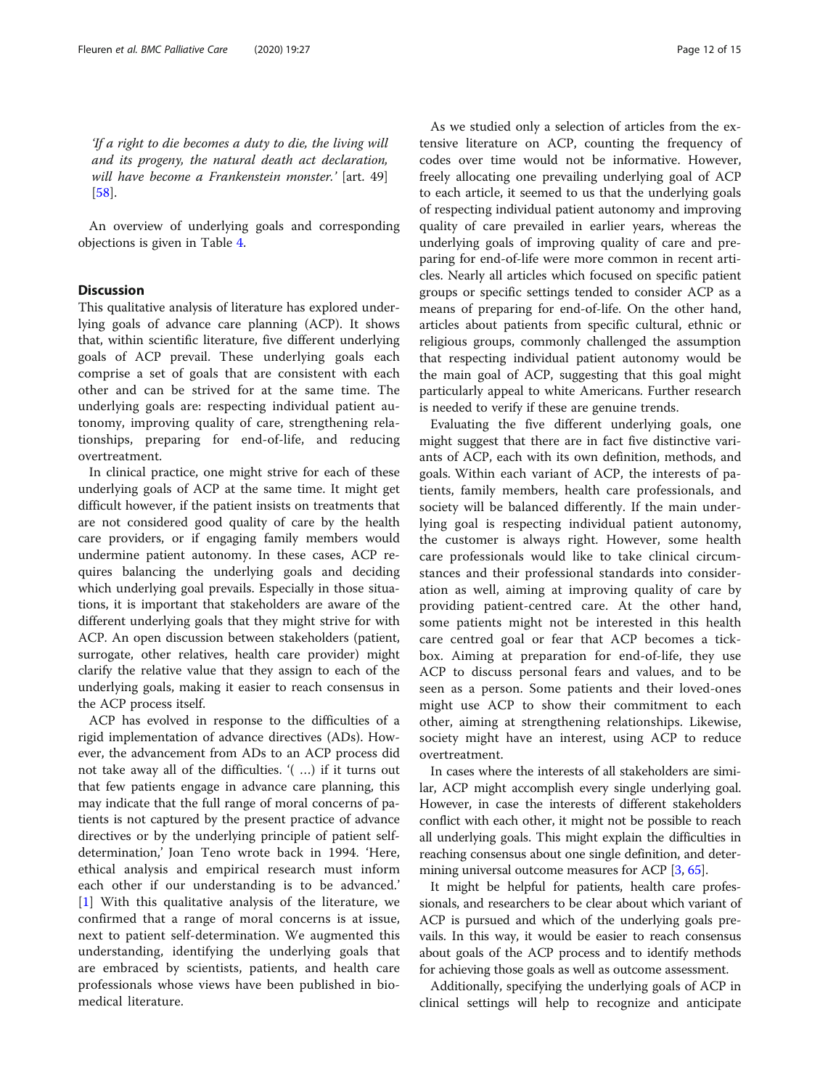'If a right to die becomes a duty to die, the living will and its progeny, the natural death act declaration, will have become a Frankenstein monster.' [art. 49] [[58\]](#page-14-0).

An overview of underlying goals and corresponding objections is given in Table [4.](#page-10-0)

# **Discussion**

This qualitative analysis of literature has explored underlying goals of advance care planning (ACP). It shows that, within scientific literature, five different underlying goals of ACP prevail. These underlying goals each comprise a set of goals that are consistent with each other and can be strived for at the same time. The underlying goals are: respecting individual patient autonomy, improving quality of care, strengthening relationships, preparing for end-of-life, and reducing overtreatment.

In clinical practice, one might strive for each of these underlying goals of ACP at the same time. It might get difficult however, if the patient insists on treatments that are not considered good quality of care by the health care providers, or if engaging family members would undermine patient autonomy. In these cases, ACP requires balancing the underlying goals and deciding which underlying goal prevails. Especially in those situations, it is important that stakeholders are aware of the different underlying goals that they might strive for with ACP. An open discussion between stakeholders (patient, surrogate, other relatives, health care provider) might clarify the relative value that they assign to each of the underlying goals, making it easier to reach consensus in the ACP process itself.

ACP has evolved in response to the difficulties of a rigid implementation of advance directives (ADs). However, the advancement from ADs to an ACP process did not take away all of the difficulties. '( …) if it turns out that few patients engage in advance care planning, this may indicate that the full range of moral concerns of patients is not captured by the present practice of advance directives or by the underlying principle of patient selfdetermination,' Joan Teno wrote back in 1994. 'Here, ethical analysis and empirical research must inform each other if our understanding is to be advanced.' [[1\]](#page-13-0) With this qualitative analysis of the literature, we confirmed that a range of moral concerns is at issue, next to patient self-determination. We augmented this understanding, identifying the underlying goals that are embraced by scientists, patients, and health care professionals whose views have been published in biomedical literature.

As we studied only a selection of articles from the extensive literature on ACP, counting the frequency of codes over time would not be informative. However, freely allocating one prevailing underlying goal of ACP to each article, it seemed to us that the underlying goals of respecting individual patient autonomy and improving quality of care prevailed in earlier years, whereas the underlying goals of improving quality of care and preparing for end-of-life were more common in recent articles. Nearly all articles which focused on specific patient groups or specific settings tended to consider ACP as a means of preparing for end-of-life. On the other hand, articles about patients from specific cultural, ethnic or religious groups, commonly challenged the assumption that respecting individual patient autonomy would be the main goal of ACP, suggesting that this goal might particularly appeal to white Americans. Further research is needed to verify if these are genuine trends.

Evaluating the five different underlying goals, one might suggest that there are in fact five distinctive variants of ACP, each with its own definition, methods, and goals. Within each variant of ACP, the interests of patients, family members, health care professionals, and society will be balanced differently. If the main underlying goal is respecting individual patient autonomy, the customer is always right. However, some health care professionals would like to take clinical circumstances and their professional standards into consideration as well, aiming at improving quality of care by providing patient-centred care. At the other hand, some patients might not be interested in this health care centred goal or fear that ACP becomes a tickbox. Aiming at preparation for end-of-life, they use ACP to discuss personal fears and values, and to be seen as a person. Some patients and their loved-ones might use ACP to show their commitment to each other, aiming at strengthening relationships. Likewise, society might have an interest, using ACP to reduce overtreatment.

In cases where the interests of all stakeholders are similar, ACP might accomplish every single underlying goal. However, in case the interests of different stakeholders conflict with each other, it might not be possible to reach all underlying goals. This might explain the difficulties in reaching consensus about one single definition, and deter-mining universal outcome measures for ACP [\[3](#page-13-0), [65](#page-14-0)].

It might be helpful for patients, health care professionals, and researchers to be clear about which variant of ACP is pursued and which of the underlying goals prevails. In this way, it would be easier to reach consensus about goals of the ACP process and to identify methods for achieving those goals as well as outcome assessment.

Additionally, specifying the underlying goals of ACP in clinical settings will help to recognize and anticipate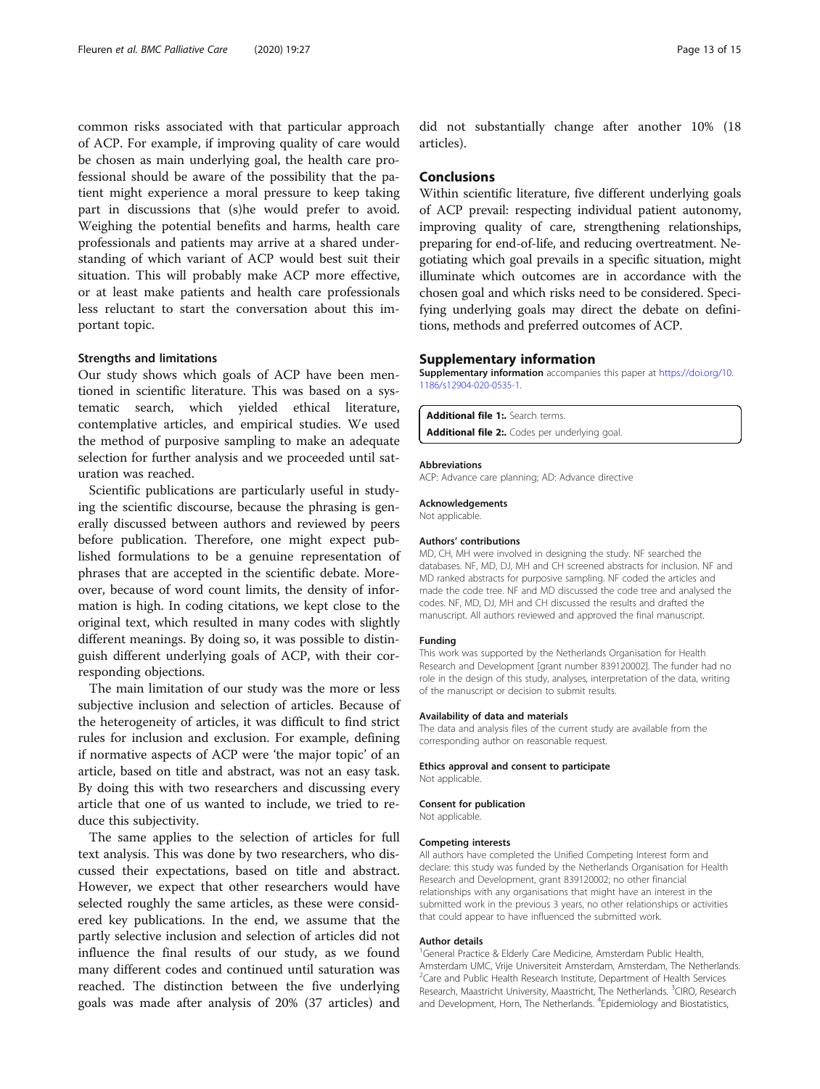<span id="page-12-0"></span>common risks associated with that particular approach of ACP. For example, if improving quality of care would be chosen as main underlying goal, the health care professional should be aware of the possibility that the patient might experience a moral pressure to keep taking part in discussions that (s)he would prefer to avoid. Weighing the potential benefits and harms, health care professionals and patients may arrive at a shared understanding of which variant of ACP would best suit their situation. This will probably make ACP more effective, or at least make patients and health care professionals less reluctant to start the conversation about this important topic.

#### Strengths and limitations

Our study shows which goals of ACP have been mentioned in scientific literature. This was based on a systematic search, which yielded ethical literature, contemplative articles, and empirical studies. We used the method of purposive sampling to make an adequate selection for further analysis and we proceeded until saturation was reached.

Scientific publications are particularly useful in studying the scientific discourse, because the phrasing is generally discussed between authors and reviewed by peers before publication. Therefore, one might expect published formulations to be a genuine representation of phrases that are accepted in the scientific debate. Moreover, because of word count limits, the density of information is high. In coding citations, we kept close to the original text, which resulted in many codes with slightly different meanings. By doing so, it was possible to distinguish different underlying goals of ACP, with their corresponding objections.

The main limitation of our study was the more or less subjective inclusion and selection of articles. Because of the heterogeneity of articles, it was difficult to find strict rules for inclusion and exclusion. For example, defining if normative aspects of ACP were 'the major topic' of an article, based on title and abstract, was not an easy task. By doing this with two researchers and discussing every article that one of us wanted to include, we tried to reduce this subjectivity.

The same applies to the selection of articles for full text analysis. This was done by two researchers, who discussed their expectations, based on title and abstract. However, we expect that other researchers would have selected roughly the same articles, as these were considered key publications. In the end, we assume that the partly selective inclusion and selection of articles did not influence the final results of our study, as we found many different codes and continued until saturation was reached. The distinction between the five underlying goals was made after analysis of 20% (37 articles) and

did not substantially change after another 10% (18 articles).

#### Conclusions

Within scientific literature, five different underlying goals of ACP prevail: respecting individual patient autonomy, improving quality of care, strengthening relationships, preparing for end-of-life, and reducing overtreatment. Negotiating which goal prevails in a specific situation, might illuminate which outcomes are in accordance with the chosen goal and which risks need to be considered. Specifying underlying goals may direct the debate on definitions, methods and preferred outcomes of ACP.

#### Supplementary information

Supplementary information accompanies this paper at [https://doi.org/10.](https://doi.org/10.1186/s12904-020-0535-1) [1186/s12904-020-0535-1.](https://doi.org/10.1186/s12904-020-0535-1)

Additional file 1: Search terms.

Additional file 2:. Codes per underlying goal.

#### Abbreviations

ACP: Advance care planning; AD: Advance directive

#### Acknowledgements

Not applicable.

#### Authors' contributions

MD, CH, MH were involved in designing the study. NF searched the databases. NF, MD, DJ, MH and CH screened abstracts for inclusion. NF and MD ranked abstracts for purposive sampling. NF coded the articles and made the code tree. NF and MD discussed the code tree and analysed the codes. NF, MD, DJ, MH and CH discussed the results and drafted the manuscript. All authors reviewed and approved the final manuscript.

#### Funding

This work was supported by the Netherlands Organisation for Health Research and Development [grant number 839120002]. The funder had no role in the design of this study, analyses, interpretation of the data, writing of the manuscript or decision to submit results.

#### Availability of data and materials

The data and analysis files of the current study are available from the corresponding author on reasonable request.

#### Ethics approval and consent to participate

Not applicable.

#### Consent for publication

Not applicable.

#### Competing interests

All authors have completed the Unified Competing Interest form and declare: this study was funded by the Netherlands Organisation for Health Research and Development, grant 839120002; no other financial relationships with any organisations that might have an interest in the submitted work in the previous 3 years, no other relationships or activities that could appear to have influenced the submitted work.

#### Author details

<sup>1</sup>General Practice & Elderly Care Medicine, Amsterdam Public Health, Amsterdam UMC, Vrije Universiteit Amsterdam, Amsterdam, The Netherlands. <sup>2</sup> Care and Public Health Research Institute, Department of Health Services Research, Maastricht University, Maastricht, The Netherlands. <sup>3</sup>CIRO, Research and Development, Horn, The Netherlands. <sup>4</sup>Epidemiology and Biostatistics,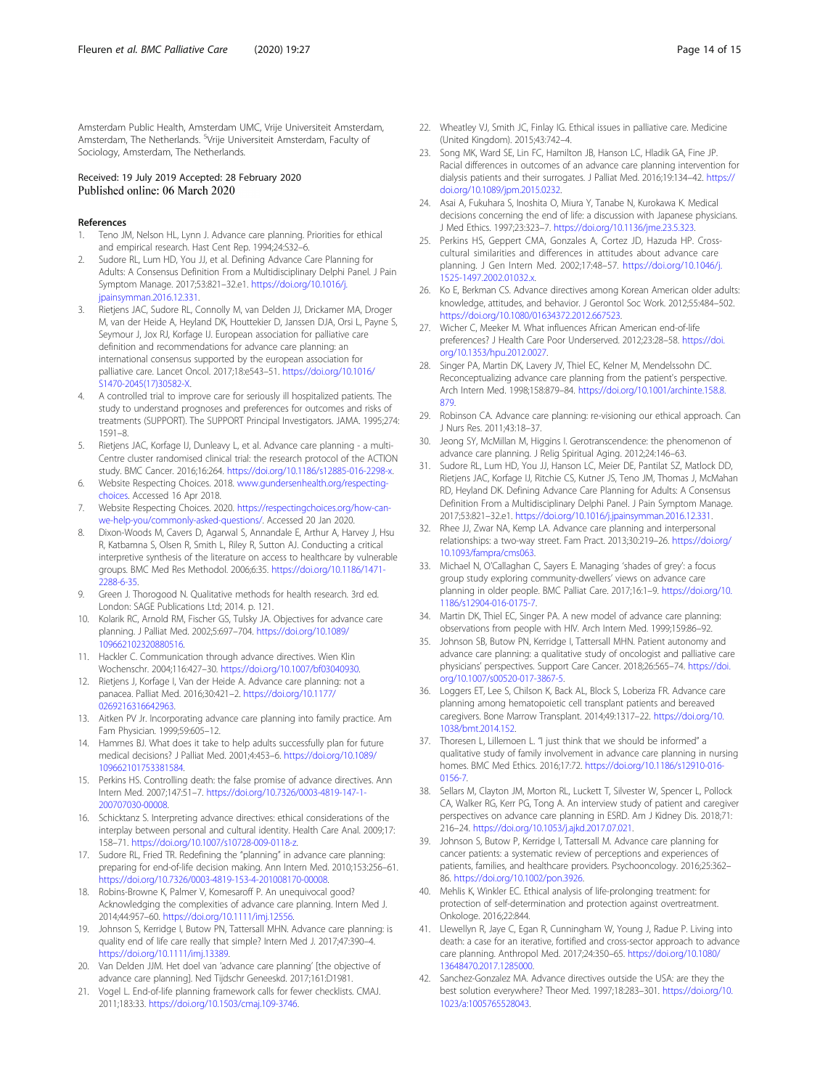<span id="page-13-0"></span>Amsterdam Public Health, Amsterdam UMC, Vrije Universiteit Amsterdam, Amsterdam, The Netherlands. <sup>5</sup>Vrije Universiteit Amsterdam, Faculty of Sociology, Amsterdam, The Netherlands.

#### Received: 19 July 2019 Accepted: 28 February 2020 Published online: 06 March 2020

#### References

- 1. Teno JM, Nelson HL, Lynn J. Advance care planning. Priorities for ethical and empirical research. Hast Cent Rep. 1994;24:S32–6.
- Sudore RL, Lum HD, You JJ, et al. Defining Advance Care Planning for Adults: A Consensus Definition From a Multidisciplinary Delphi Panel. J Pain Symptom Manage. 2017;53:821–32.e1. [https://doi.org/10.1016/j.](https://doi.org/10.1016/j.jpainsymman.2016.12.331) [jpainsymman.2016.12.331.](https://doi.org/10.1016/j.jpainsymman.2016.12.331)
- 3. Rietjens JAC, Sudore RL, Connolly M, van Delden JJ, Drickamer MA, Droger M, van der Heide A, Heyland DK, Houttekier D, Janssen DJA, Orsi L, Payne S, Seymour J, Jox RJ, Korfage IJ. European association for palliative care definition and recommendations for advance care planning: an international consensus supported by the european association for palliative care. Lancet Oncol. 2017;18:e543–51. [https://doi.org/10.1016/](https://doi.org/10.1016/S1470-2045(17)30582-X) [S1470-2045\(17\)30582-X.](https://doi.org/10.1016/S1470-2045(17)30582-X)
- 4. A controlled trial to improve care for seriously ill hospitalized patients. The study to understand prognoses and preferences for outcomes and risks of treatments (SUPPORT). The SUPPORT Principal Investigators. JAMA. 1995;274: 1591–8.
- 5. Rietjens JAC, Korfage IJ, Dunleavy L, et al. Advance care planning a multi-Centre cluster randomised clinical trial: the research protocol of the ACTION study. BMC Cancer. 2016;16:264. [https://doi.org/10.1186/s12885-016-2298-x.](https://doi.org/10.1186/s12885-016-2298-x)
- Website Respecting Choices. 2018. [www.gundersenhealth.org/respecting](http://www.gundersenhealth.org/respecting-choices)[choices.](http://www.gundersenhealth.org/respecting-choices) Accessed 16 Apr 2018.
- 7. Website Respecting Choices. 2020. [https://respectingchoices.org/how-can](https://respectingchoices.org/how-can-we-help-you/commonly-asked-questions/)[we-help-you/commonly-asked-questions/.](https://respectingchoices.org/how-can-we-help-you/commonly-asked-questions/) Accessed 20 Jan 2020.
- 8. Dixon-Woods M, Cavers D, Agarwal S, Annandale E, Arthur A, Harvey J, Hsu R, Katbamna S, Olsen R, Smith L, Riley R, Sutton AJ. Conducting a critical interpretive synthesis of the literature on access to healthcare by vulnerable groups. BMC Med Res Methodol. 2006;6:35. [https://doi.org/10.1186/1471-](https://doi.org/10.1186/1471-2288-6-35) [2288-6-35.](https://doi.org/10.1186/1471-2288-6-35)
- 9. Green J. Thorogood N. Qualitative methods for health research. 3rd ed. London: SAGE Publications Ltd; 2014. p. 121.
- 10. Kolarik RC, Arnold RM, Fischer GS, Tulsky JA. Objectives for advance care planning. J Palliat Med. 2002;5:697–704. [https://doi.org/10.1089/](https://doi.org/10.1089/109662102320880516) [109662102320880516](https://doi.org/10.1089/109662102320880516).
- 11. Hackler C. Communication through advance directives. Wien Klin Wochenschr. 2004;116:427–30. [https://doi.org/10.1007/bf03040930.](https://doi.org/10.1007/bf03040930)
- 12. Rietjens J, Korfage I, Van der Heide A. Advance care planning: not a panacea. Palliat Med. 2016;30:421–2. [https://doi.org/10.1177/](https://doi.org/10.1177/0269216316642963) [0269216316642963](https://doi.org/10.1177/0269216316642963).
- 13. Aitken PV Jr. Incorporating advance care planning into family practice. Am Fam Physician. 1999;59:605–12.
- 14. Hammes BJ. What does it take to help adults successfully plan for future medical decisions? J Palliat Med. 2001;4:453–6. [https://doi.org/10.1089/](https://doi.org/10.1089/109662101753381584) [109662101753381584](https://doi.org/10.1089/109662101753381584).
- 15. Perkins HS. Controlling death: the false promise of advance directives. Ann Intern Med. 2007;147:51–7. [https://doi.org/10.7326/0003-4819-147-1-](https://doi.org/10.7326/0003-4819-147-1-200707030-00008) [200707030-00008.](https://doi.org/10.7326/0003-4819-147-1-200707030-00008)
- 16. Schicktanz S. Interpreting advance directives: ethical considerations of the interplay between personal and cultural identity. Health Care Anal. 2009;17: 158–71. <https://doi.org/10.1007/s10728-009-0118-z>.
- 17. Sudore RL, Fried TR. Redefining the "planning" in advance care planning: preparing for end-of-life decision making. Ann Intern Med. 2010;153:256–61. [https://doi.org/10.7326/0003-4819-153-4-201008170-00008.](https://doi.org/10.7326/0003-4819-153-4-201008170-00008)
- 18. Robins-Browne K, Palmer V, Komesaroff P. An unequivocal good? Acknowledging the complexities of advance care planning. Intern Med J. 2014;44:957–60. [https://doi.org/10.1111/imj.12556.](https://doi.org/10.1111/imj.12556)
- 19. Johnson S, Kerridge I, Butow PN, Tattersall MHN. Advance care planning: is quality end of life care really that simple? Intern Med J. 2017;47:390–4. [https://doi.org/10.1111/imj.13389.](https://doi.org/10.1111/imj.13389)
- 20. Van Delden JJM. Het doel van 'advance care planning' [the objective of advance care planning]. Ned Tijdschr Geneeskd. 2017;161:D1981.
- 21. Vogel L. End-of-life planning framework calls for fewer checklists. CMAJ. 2011;183:33. <https://doi.org/10.1503/cmaj.109-3746>.
- 22. Wheatley VJ, Smith JC, Finlay IG. Ethical issues in palliative care. Medicine (United Kingdom). 2015;43:742–4.
- 23. Song MK, Ward SE, Lin FC, Hamilton JB, Hanson LC, Hladik GA, Fine JP. Racial differences in outcomes of an advance care planning intervention for dialysis patients and their surrogates. J Palliat Med. 2016;19:134–42. [https://](https://doi.org/10.1089/jpm.2015.0232) [doi.org/10.1089/jpm.2015.0232](https://doi.org/10.1089/jpm.2015.0232).
- 24. Asai A, Fukuhara S, Inoshita O, Miura Y, Tanabe N, Kurokawa K. Medical decisions concerning the end of life: a discussion with Japanese physicians. J Med Ethics. 1997;23:323–7. <https://doi.org/10.1136/jme.23.5.323>.
- 25. Perkins HS, Geppert CMA, Gonzales A, Cortez JD, Hazuda HP. Crosscultural similarities and differences in attitudes about advance care planning. J Gen Intern Med. 2002;17:48–57. [https://doi.org/10.1046/j.](https://doi.org/10.1046/j.1525-1497.2002.01032.x) [1525-1497.2002.01032.x](https://doi.org/10.1046/j.1525-1497.2002.01032.x).
- 26. Ko E, Berkman CS. Advance directives among Korean American older adults: knowledge, attitudes, and behavior. J Gerontol Soc Work. 2012;55:484–502. [https://doi.org/10.1080/01634372.2012.667523.](https://doi.org/10.1080/01634372.2012.667523)
- 27. Wicher C, Meeker M. What influences African American end-of-life preferences? J Health Care Poor Underserved. 2012;23:28–58. [https://doi.](https://doi.org/10.1353/hpu.2012.0027) [org/10.1353/hpu.2012.0027](https://doi.org/10.1353/hpu.2012.0027).
- 28. Singer PA, Martin DK, Lavery JV, Thiel EC, Kelner M, Mendelssohn DC. Reconceptualizing advance care planning from the patient's perspective. Arch Intern Med. 1998;158:879–84. [https://doi.org/10.1001/archinte.158.8.](https://doi.org/10.1001/archinte.158.8.879) [879.](https://doi.org/10.1001/archinte.158.8.879)
- 29. Robinson CA. Advance care planning: re-visioning our ethical approach. Can J Nurs Res. 2011;43:18–37.
- 30. Jeong SY, McMillan M, Higgins I. Gerotranscendence: the phenomenon of advance care planning. J Relig Spiritual Aging. 2012;24:146–63.
- 31. Sudore RL, Lum HD, You JJ, Hanson LC, Meier DE, Pantilat SZ, Matlock DD, Rietjens JAC, Korfage IJ, Ritchie CS, Kutner JS, Teno JM, Thomas J, McMahan RD, Heyland DK. Defining Advance Care Planning for Adults: A Consensus Definition From a Multidisciplinary Delphi Panel. J Pain Symptom Manage. 2017;53:821–32.e1. [https://doi.org/10.1016/j.jpainsymman.2016.12.331.](https://doi.org/10.1016/j.jpainsymman.2016.12.331)
- 32. Rhee JJ, Zwar NA, Kemp LA. Advance care planning and interpersonal relationships: a two-way street. Fam Pract. 2013;30:219–26. [https://doi.org/](https://doi.org/10.1093/fampra/cms063) [10.1093/fampra/cms063.](https://doi.org/10.1093/fampra/cms063)
- 33. Michael N, O'Callaghan C, Sayers E. Managing 'shades of grey': a focus group study exploring community-dwellers' views on advance care planning in older people. BMC Palliat Care. 2017;16:1–9. [https://doi.org/10.](https://doi.org/10.1186/s12904-016-0175-7) [1186/s12904-016-0175-7](https://doi.org/10.1186/s12904-016-0175-7).
- 34. Martin DK, Thiel EC, Singer PA. A new model of advance care planning: observations from people with HIV. Arch Intern Med. 1999;159:86–92.
- 35. Johnson SB, Butow PN, Kerridge I, Tattersall MHN. Patient autonomy and advance care planning: a qualitative study of oncologist and palliative care physicians' perspectives. Support Care Cancer. 2018;26:565–74. [https://doi.](https://doi.org/10.1007/s00520-017-3867-5) [org/10.1007/s00520-017-3867-5](https://doi.org/10.1007/s00520-017-3867-5).
- 36. Loggers ET, Lee S, Chilson K, Back AL, Block S, Loberiza FR. Advance care planning among hematopoietic cell transplant patients and bereaved caregivers. Bone Marrow Transplant. 2014;49:1317–22. [https://doi.org/10.](https://doi.org/10.1038/bmt.2014.152) [1038/bmt.2014.152.](https://doi.org/10.1038/bmt.2014.152)
- 37. Thoresen L, Lillemoen L. "I just think that we should be informed" a qualitative study of family involvement in advance care planning in nursing homes. BMC Med Ethics. 2016;17:72. [https://doi.org/10.1186/s12910-016-](https://doi.org/10.1186/s12910-016-0156-7) [0156-7.](https://doi.org/10.1186/s12910-016-0156-7)
- 38. Sellars M, Clayton JM, Morton RL, Luckett T, Silvester W, Spencer L, Pollock CA, Walker RG, Kerr PG, Tong A. An interview study of patient and caregiver perspectives on advance care planning in ESRD. Am J Kidney Dis. 2018;71: 216–24. <https://doi.org/10.1053/j.ajkd.2017.07.021>.
- 39. Johnson S, Butow P, Kerridge I, Tattersall M. Advance care planning for cancer patients: a systematic review of perceptions and experiences of patients, families, and healthcare providers. Psychooncology. 2016;25:362– 86. <https://doi.org/10.1002/pon.3926>.
- 40. Mehlis K, Winkler EC. Ethical analysis of life-prolonging treatment: for protection of self-determination and protection against overtreatment. Onkologe. 2016;22:844.
- 41. Llewellyn R, Jaye C, Egan R, Cunningham W, Young J, Radue P. Living into death: a case for an iterative, fortified and cross-sector approach to advance care planning. Anthropol Med. 2017;24:350–65. [https://doi.org/10.1080/](https://doi.org/10.1080/13648470.2017.1285000) [13648470.2017.1285000.](https://doi.org/10.1080/13648470.2017.1285000)
- 42. Sanchez-Gonzalez MA. Advance directives outside the USA: are they the best solution everywhere? Theor Med. 1997;18:283–301. [https://doi.org/10.](https://doi.org/10.1023/a:1005765528043) [1023/a:1005765528043.](https://doi.org/10.1023/a:1005765528043)